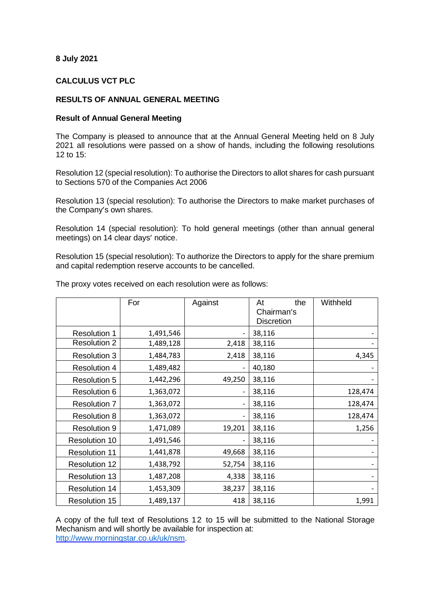## **8 July 2021**

## **CALCULUS VCT PLC**

## **RESULTS OF ANNUAL GENERAL MEETING**

## **Result of Annual General Meeting**

The Company is pleased to announce that at the Annual General Meeting held on 8 July 2021 all resolutions were passed on a show of hands, including the following resolutions 12 to 15:

Resolution 12 (special resolution): To authorise the Directors to allot shares for cash pursuant to Sections 570 of the Companies Act 2006

Resolution 13 (special resolution): To authorise the Directors to make market purchases of the Company's own shares.

Resolution 14 (special resolution): To hold general meetings (other than annual general meetings) on 14 clear days' notice.

Resolution 15 (special resolution): To authorize the Directors to apply for the share premium and capital redemption reserve accounts to be cancelled.

|                      | For       | Against | At<br>the         | Withheld |
|----------------------|-----------|---------|-------------------|----------|
|                      |           |         | Chairman's        |          |
|                      |           |         | <b>Discretion</b> |          |
| <b>Resolution 1</b>  | 1,491,546 |         | 38,116            |          |
| <b>Resolution 2</b>  | 1,489,128 | 2,418   | 38,116            |          |
| <b>Resolution 3</b>  | 1,484,783 | 2,418   | 38,116            | 4,345    |
| <b>Resolution 4</b>  | 1,489,482 |         | 40,180            |          |
| <b>Resolution 5</b>  | 1,442,296 | 49,250  | 38,116            |          |
| Resolution 6         | 1,363,072 |         | 38,116            | 128,474  |
| <b>Resolution 7</b>  | 1,363,072 |         | 38,116            | 128,474  |
| <b>Resolution 8</b>  | 1,363,072 |         | 38,116            | 128,474  |
| <b>Resolution 9</b>  | 1,471,089 | 19,201  | 38,116            | 1,256    |
| <b>Resolution 10</b> | 1,491,546 |         | 38,116            |          |
| <b>Resolution 11</b> | 1,441,878 | 49,668  | 38,116            |          |
| <b>Resolution 12</b> | 1,438,792 | 52,754  | 38,116            |          |
| <b>Resolution 13</b> | 1,487,208 | 4,338   | 38,116            |          |
| <b>Resolution 14</b> | 1,453,309 | 38,237  | 38,116            |          |
| <b>Resolution 15</b> | 1,489,137 | 418     | 38,116            | 1,991    |

The proxy votes received on each resolution were as follows:

A copy of the full text of Resolutions 12 to 15 will be submitted to the National Storage Mechanism and will shortly be available for inspection at: [http://www.morningstar.co.uk/uk/nsm.](http://www.morningstar.co.uk/uk/nsm)